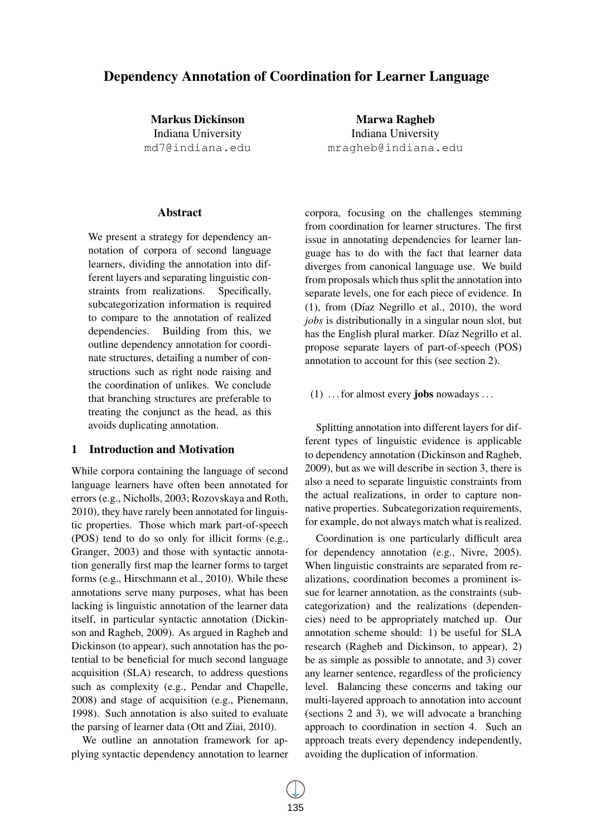# Dependency Annotation of Coordination for Learner Language

Markus Dickinson Indiana University md7@indiana.edu

# Abstract

We present a strategy for dependency annotation of corpora of second language learners, dividing the annotation into different layers and separating linguistic constraints from realizations. Specifically, subcategorization information is required to compare to the annotation of realized dependencies. Building from this, we outline dependency annotation for coordinate structures, detailing a number of constructions such as right node raising and the coordination of unlikes. We conclude that branching structures are preferable to treating the conjunct as the head, as this avoids duplicating annotation.

# 1 Introduction and Motivation

While corpora containing the language of second language learners have often been annotated for errors (e.g., Nicholls, 2003; Rozovskaya and Roth, 2010), they have rarely been annotated for linguistic properties. Those which mark part-of-speech (POS) tend to do so only for illicit forms (e.g., Granger, 2003) and those with syntactic annotation generally first map the learner forms to target forms (e.g., Hirschmann et al., 2010). While these annotations serve many purposes, what has been lacking is linguistic annotation of the learner data itself, in particular syntactic annotation (Dickinson and Ragheb, 2009). As argued in Ragheb and Dickinson (to appear), such annotation has the potential to be beneficial for much second language acquisition (SLA) research, to address questions such as complexity (e.g., Pendar and Chapelle, 2008) and stage of acquisition (e.g., Pienemann, 1998). Such annotation is also suited to evaluate the parsing of learner data (Ott and Ziai, 2010).

We outline an annotation framework for applying syntactic dependency annotation to learner

Marwa Ragheb Indiana University mragheb@indiana.edu

corpora, focusing on the challenges stemming from coordination for learner structures. The first issue in annotating dependencies for learner language has to do with the fact that learner data diverges from canonical language use. We build from proposals which thus split the annotation into separate levels, one for each piece of evidence. In  $(1)$ , from (Díaz Negrillo et al., 2010), the word *jobs* is distributionally in a singular noun slot, but has the English plural marker. Díaz Negrillo et al. propose separate layers of part-of-speech (POS) annotation to account for this (see section 2).

### $(1)$  ... for almost every jobs nowadays ...

Splitting annotation into different layers for different types of linguistic evidence is applicable to dependency annotation (Dickinson and Ragheb, 2009), but as we will describe in section 3, there is also a need to separate linguistic constraints from the actual realizations, in order to capture nonnative properties. Subcategorization requirements, for example, do not always match what is realized.

Coordination is one particularly difficult area for dependency annotation (e.g., Nivre, 2005). When linguistic constraints are separated from realizations, coordination becomes a prominent issue for learner annotation, as the constraints (subcategorization) and the realizations (dependencies) need to be appropriately matched up. Our annotation scheme should: 1) be useful for SLA research (Ragheb and Dickinson, to appear), 2) be as simple as possible to annotate, and 3) cover any learner sentence, regardless of the proficiency level. Balancing these concerns and taking our multi-layered approach to annotation into account (sections 2 and 3), we will advocate a branching approach to coordination in section 4. Such an approach treats every dependency independently, avoiding the duplication of information.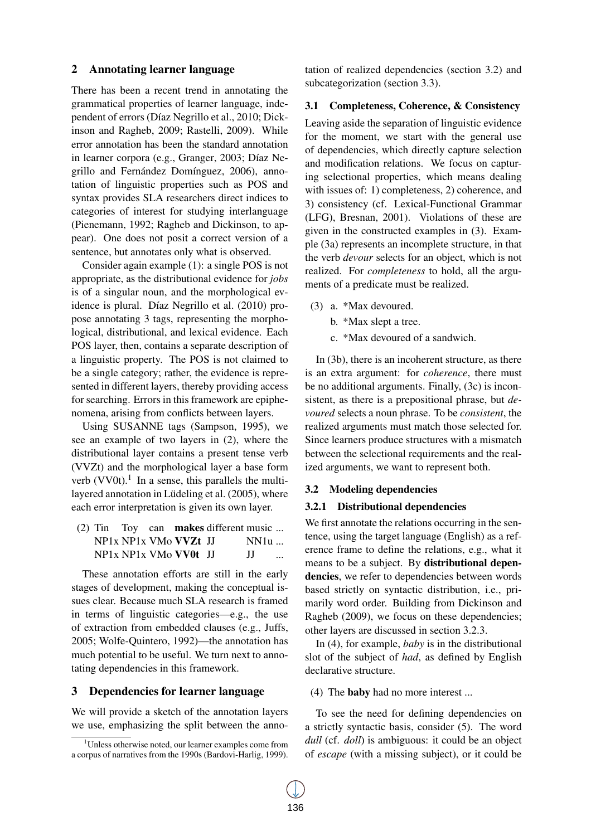# 2 Annotating learner language

There has been a recent trend in annotating the grammatical properties of learner language, independent of errors (Díaz Negrillo et al., 2010; Dickinson and Ragheb, 2009; Rastelli, 2009). While error annotation has been the standard annotation in learner corpora (e.g., Granger, 2003; Díaz Negrillo and Fernández Domínguez, 2006), annotation of linguistic properties such as POS and syntax provides SLA researchers direct indices to categories of interest for studying interlanguage (Pienemann, 1992; Ragheb and Dickinson, to appear). One does not posit a correct version of a sentence, but annotates only what is observed.

Consider again example (1): a single POS is not appropriate, as the distributional evidence for *jobs* is of a singular noun, and the morphological evidence is plural. Díaz Negrillo et al. (2010) propose annotating 3 tags, representing the morphological, distributional, and lexical evidence. Each POS layer, then, contains a separate description of a linguistic property. The POS is not claimed to be a single category; rather, the evidence is represented in different layers, thereby providing access for searching. Errors in this framework are epiphenomena, arising from conflicts between layers.

Using SUSANNE tags (Sampson, 1995), we see an example of two layers in (2), where the distributional layer contains a present tense verb (VVZt) and the morphological layer a base form verb  $(VV0t)$ .<sup>1</sup> In a sense, this parallels the multilayered annotation in Lüdeling et al. (2005), where each error interpretation is given its own layer.

(2) Tin Toy can makes different music ... NP1x NP1x VMo **VVZt** JJ NP1x NP1x VMo **VV0t** JJ NN1u ... JJ ...

These annotation efforts are still in the early stages of development, making the conceptual issues clear. Because much SLA research is framed in terms of linguistic categories—e.g., the use of extraction from embedded clauses (e.g., Juffs, 2005; Wolfe-Quintero, 1992)—the annotation has much potential to be useful. We turn next to annotating dependencies in this framework.

# 3 Dependencies for learner language

We will provide a sketch of the annotation layers we use, emphasizing the split between the annotation of realized dependencies (section 3.2) and subcategorization (section 3.3).

#### 3.1 Completeness, Coherence, & Consistency

Leaving aside the separation of linguistic evidence for the moment, we start with the general use of dependencies, which directly capture selection and modification relations. We focus on capturing selectional properties, which means dealing with issues of: 1) completeness, 2) coherence, and 3) consistency (cf. Lexical-Functional Grammar (LFG), Bresnan, 2001). Violations of these are given in the constructed examples in (3). Example (3a) represents an incomplete structure, in that the verb *devour* selects for an object, which is not realized. For *completeness* to hold, all the arguments of a predicate must be realized.

- (3) a. \*Max devoured.
	- b. \*Max slept a tree.
	- c. \*Max devoured of a sandwich.

In (3b), there is an incoherent structure, as there is an extra argument: for *coherence*, there must be no additional arguments. Finally, (3c) is inconsistent, as there is a prepositional phrase, but *devoured* selects a noun phrase. To be *consistent*, the realized arguments must match those selected for. Since learners produce structures with a mismatch between the selectional requirements and the realized arguments, we want to represent both.

#### 3.2 Modeling dependencies

# 3.2.1 Distributional dependencies

We first annotate the relations occurring in the sentence, using the target language (English) as a reference frame to define the relations, e.g., what it means to be a subject. By distributional dependencies, we refer to dependencies between words based strictly on syntactic distribution, i.e., primarily word order. Building from Dickinson and Ragheb (2009), we focus on these dependencies; other layers are discussed in section 3.2.3.

In (4), for example, *baby* is in the distributional slot of the subject of *had*, as defined by English declarative structure.

(4) The baby had no more interest ...

To see the need for defining dependencies on a strictly syntactic basis, consider (5). The word *dull* (cf. *doll*) is ambiguous: it could be an object of *escape* (with a missing subject), or it could be

<sup>&</sup>lt;sup>1</sup>Unless otherwise noted, our learner examples come from a corpus of narratives from the 1990s (Bardovi-Harlig, 1999).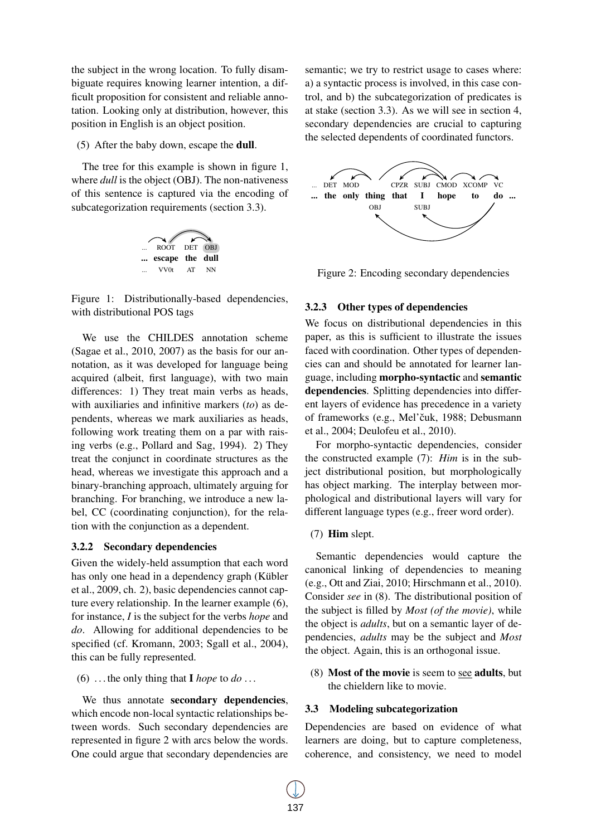the subject in the wrong location. To fully disambiguate requires knowing learner intention, a difficult proposition for consistent and reliable annotation. Looking only at distribution, however, this position in English is an object position.

(5) After the baby down, escape the dull.

The tree for this example is shown in figure 1, where *dull* is the object (OBJ). The non-nativeness of this sentence is captured via the encoding of subcategorization requirements (section 3.3).



Figure 1: Distributionally-based dependencies, with distributional POS tags

We use the CHILDES annotation scheme (Sagae et al., 2010, 2007) as the basis for our annotation, as it was developed for language being acquired (albeit, first language), with two main differences: 1) They treat main verbs as heads, with auxiliaries and infinitive markers (*to*) as dependents, whereas we mark auxiliaries as heads, following work treating them on a par with raising verbs (e.g., Pollard and Sag, 1994). 2) They treat the conjunct in coordinate structures as the head, whereas we investigate this approach and a binary-branching approach, ultimately arguing for branching. For branching, we introduce a new label, CC (coordinating conjunction), for the relation with the conjunction as a dependent.

#### 3.2.2 Secondary dependencies

Given the widely-held assumption that each word has only one head in a dependency graph (Kübler et al., 2009, ch. 2), basic dependencies cannot capture every relationship. In the learner example (6), for instance, *I* is the subject for the verbs *hope* and *do*. Allowing for additional dependencies to be specified (cf. Kromann, 2003; Sgall et al., 2004), this can be fully represented.

(6) ... the only thing that  $\bf{I}$  *hope* to *do* ...

We thus annotate secondary dependencies, which encode non-local syntactic relationships between words. Such secondary dependencies are represented in figure 2 with arcs below the words. One could argue that secondary dependencies are

semantic; we try to restrict usage to cases where: a) a syntactic process is involved, in this case control, and b) the subcategorization of predicates is at stake (section 3.3). As we will see in section 4, secondary dependencies are crucial to capturing the selected dependents of coordinated functors.



Figure 2: Encoding secondary dependencies

#### 3.2.3 Other types of dependencies

We focus on distributional dependencies in this paper, as this is sufficient to illustrate the issues faced with coordination. Other types of dependencies can and should be annotated for learner language, including morpho-syntactic and semantic dependencies. Splitting dependencies into different layers of evidence has precedence in a variety of frameworks (e.g., Mel'čuk, 1988; Debusmann et al., 2004; Deulofeu et al., 2010).

For morpho-syntactic dependencies, consider the constructed example (7): *Him* is in the subject distributional position, but morphologically has object marking. The interplay between morphological and distributional layers will vary for different language types (e.g., freer word order).

#### (7) Him slept.

Semantic dependencies would capture the canonical linking of dependencies to meaning (e.g., Ott and Ziai, 2010; Hirschmann et al., 2010). Consider *see* in (8). The distributional position of the subject is filled by *Most (of the movie)*, while the object is *adults*, but on a semantic layer of dependencies, *adults* may be the subject and *Most* the object. Again, this is an orthogonal issue.

(8) Most of the movie is seem to see adults, but the chieldern like to movie.

#### 3.3 Modeling subcategorization

Dependencies are based on evidence of what learners are doing, but to capture completeness, coherence, and consistency, we need to model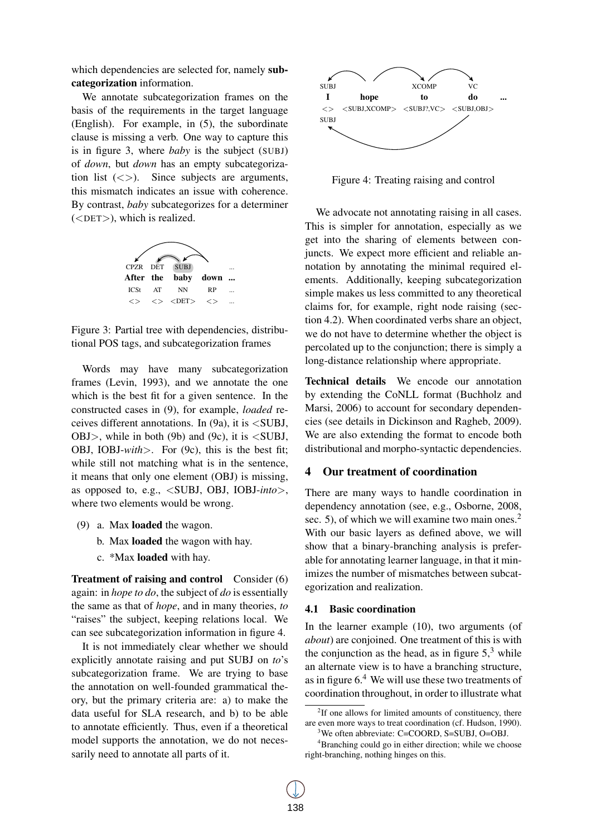which dependencies are selected for, namely subcategorization information.

We annotate subcategorization frames on the basis of the requirements in the target language (English). For example, in (5), the subordinate clause is missing a verb. One way to capture this is in figure 3, where *baby* is the subject (SUBJ) of *down*, but *down* has an empty subcategorization list  $(\langle \rangle)$ . Since subjects are arguments, this mismatch indicates an issue with coherence. By contrast, *baby* subcategorizes for a determiner (<DET>), which is realized.



Figure 3: Partial tree with dependencies, distributional POS tags, and subcategorization frames

Words may have many subcategorization frames (Levin, 1993), and we annotate the one which is the best fit for a given sentence. In the constructed cases in (9), for example, *loaded* receives different annotations. In  $(9a)$ , it is  $\leq$ SUBJ, OBJ $>$ , while in both (9b) and (9c), it is  $\lt$ SUBJ, OBJ, IOBJ-*with*>. For (9c), this is the best fit; while still not matching what is in the sentence, it means that only one element (OBJ) is missing, as opposed to, e.g., <SUBJ, OBJ, IOBJ-*into*>, where two elements would be wrong.

- (9) a. Max loaded the wagon.
	- b. Max loaded the wagon with hay.
	- c. \*Max loaded with hay.

Treatment of raising and control Consider (6) again: in *hope to do*, the subject of *do* is essentially the same as that of *hope*, and in many theories, *to* "raises" the subject, keeping relations local. We can see subcategorization information in figure 4.

It is not immediately clear whether we should explicitly annotate raising and put SUBJ on *to*'s subcategorization frame. We are trying to base the annotation on well-founded grammatical theory, but the primary criteria are: a) to make the data useful for SLA research, and b) to be able to annotate efficiently. Thus, even if a theoretical model supports the annotation, we do not necessarily need to annotate all parts of it.



Figure 4: Treating raising and control

We advocate not annotating raising in all cases. This is simpler for annotation, especially as we get into the sharing of elements between conjuncts. We expect more efficient and reliable annotation by annotating the minimal required elements. Additionally, keeping subcategorization simple makes us less committed to any theoretical claims for, for example, right node raising (section 4.2). When coordinated verbs share an object, we do not have to determine whether the object is percolated up to the conjunction; there is simply a long-distance relationship where appropriate.

Technical details We encode our annotation by extending the CoNLL format (Buchholz and Marsi, 2006) to account for secondary dependencies (see details in Dickinson and Ragheb, 2009). We are also extending the format to encode both distributional and morpho-syntactic dependencies.

### 4 Our treatment of coordination

There are many ways to handle coordination in dependency annotation (see, e.g., Osborne, 2008, sec. 5), of which we will examine two main ones. $<sup>2</sup>$ </sup> With our basic layers as defined above, we will show that a binary-branching analysis is preferable for annotating learner language, in that it minimizes the number of mismatches between subcategorization and realization.

#### 4.1 Basic coordination

In the learner example (10), two arguments (of *about*) are conjoined. One treatment of this is with the conjunction as the head, as in figure  $5<sup>3</sup>$  while an alternate view is to have a branching structure, as in figure  $6<sup>4</sup>$  We will use these two treatments of coordination throughout, in order to illustrate what

<sup>&</sup>lt;sup>2</sup>If one allows for limited amounts of constituency, there are even more ways to treat coordination (cf. Hudson, 1990).

<sup>&</sup>lt;sup>3</sup>We often abbreviate: C=COORD, S=SUBJ, O=OBJ.

<sup>4</sup>Branching could go in either direction; while we choose right-branching, nothing hinges on this.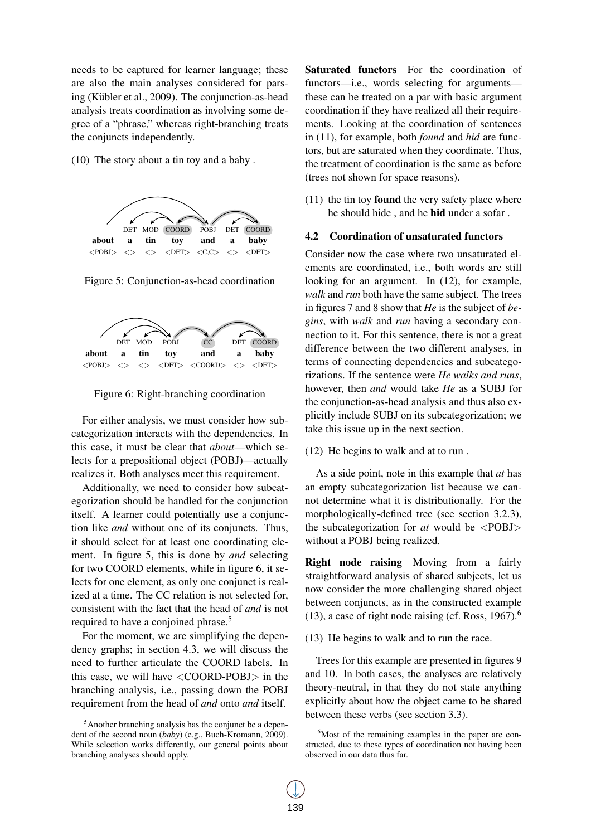needs to be captured for learner language; these are also the main analyses considered for parsing (Kübler et al., 2009). The conjunction-as-head analysis treats coordination as involving some degree of a "phrase," whereas right-branching treats the conjuncts independently.

(10) The story about a tin toy and a baby .



Figure 5: Conjunction-as-head coordination



Figure 6: Right-branching coordination

For either analysis, we must consider how subcategorization interacts with the dependencies. In this case, it must be clear that *about*—which selects for a prepositional object (POBJ)—actually realizes it. Both analyses meet this requirement.

Additionally, we need to consider how subcategorization should be handled for the conjunction itself. A learner could potentially use a conjunction like *and* without one of its conjuncts. Thus, it should select for at least one coordinating element. In figure 5, this is done by *and* selecting for two COORD elements, while in figure 6, it selects for one element, as only one conjunct is realized at a time. The CC relation is not selected for, consistent with the fact that the head of *and* is not required to have a conjoined phrase.<sup>5</sup>

For the moment, we are simplifying the dependency graphs; in section 4.3, we will discuss the need to further articulate the COORD labels. In this case, we will have  $\langle$  COORD-POBJ $>$  in the branching analysis, i.e., passing down the POBJ requirement from the head of *and* onto *and* itself.

Saturated functors For the coordination of functors—i.e., words selecting for arguments these can be treated on a par with basic argument coordination if they have realized all their requirements. Looking at the coordination of sentences in (11), for example, both *found* and *hid* are functors, but are saturated when they coordinate. Thus, the treatment of coordination is the same as before (trees not shown for space reasons).

 $(11)$  the tin toy **found** the very safety place where he should hide , and he hid under a sofar .

#### 4.2 Coordination of unsaturated functors

Consider now the case where two unsaturated elements are coordinated, i.e., both words are still looking for an argument. In (12), for example, *walk* and *run* both have the same subject. The trees in figures 7 and 8 show that *He* is the subject of *begins*, with *walk* and *run* having a secondary connection to it. For this sentence, there is not a great difference between the two different analyses, in terms of connecting dependencies and subcategorizations. If the sentence were *He walks and runs*, however, then *and* would take *He* as a SUBJ for the conjunction-as-head analysis and thus also explicitly include SUBJ on its subcategorization; we take this issue up in the next section.

# (12) He begins to walk and at to run .

As a side point, note in this example that *at* has an empty subcategorization list because we cannot determine what it is distributionally. For the morphologically-defined tree (see section 3.2.3), the subcategorization for *at* would be <POBJ> without a POBJ being realized.

Right node raising Moving from a fairly straightforward analysis of shared subjects, let us now consider the more challenging shared object between conjuncts, as in the constructed example (13), a case of right node raising (cf. Ross,  $1967$ ).<sup>6</sup>

(13) He begins to walk and to run the race.

Trees for this example are presented in figures 9 and 10. In both cases, the analyses are relatively theory-neutral, in that they do not state anything explicitly about how the object came to be shared between these verbs (see section 3.3).

<sup>5</sup>Another branching analysis has the conjunct be a dependent of the second noun (*baby*) (e.g., Buch-Kromann, 2009). While selection works differently, our general points about branching analyses should apply.

<sup>&</sup>lt;sup>6</sup>Most of the remaining examples in the paper are constructed, due to these types of coordination not having been observed in our data thus far.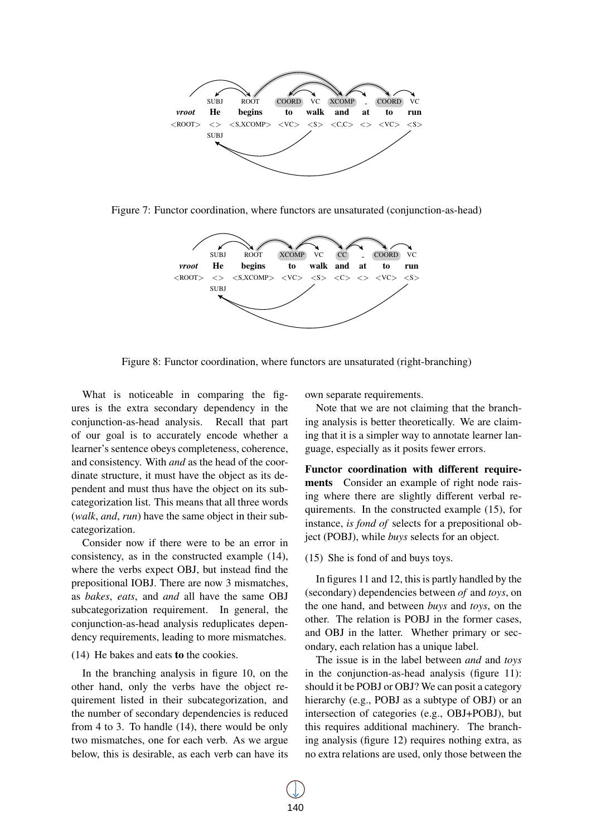

Figure 7: Functor coordination, where functors are unsaturated (conjunction-as-head)



Figure 8: Functor coordination, where functors are unsaturated (right-branching)

What is noticeable in comparing the figures is the extra secondary dependency in the conjunction-as-head analysis. Recall that part of our goal is to accurately encode whether a learner's sentence obeys completeness, coherence, and consistency. With *and* as the head of the coordinate structure, it must have the object as its dependent and must thus have the object on its subcategorization list. This means that all three words (*walk*, *and*, *run*) have the same object in their subcategorization.

Consider now if there were to be an error in consistency, as in the constructed example (14), where the verbs expect OBJ, but instead find the prepositional IOBJ. There are now 3 mismatches, as *bakes*, *eats*, and *and* all have the same OBJ subcategorization requirement. In general, the conjunction-as-head analysis reduplicates dependency requirements, leading to more mismatches.

#### (14) He bakes and eats to the cookies.

In the branching analysis in figure 10, on the other hand, only the verbs have the object requirement listed in their subcategorization, and the number of secondary dependencies is reduced from 4 to 3. To handle (14), there would be only two mismatches, one for each verb. As we argue below, this is desirable, as each verb can have its

own separate requirements.

Note that we are not claiming that the branching analysis is better theoretically. We are claiming that it is a simpler way to annotate learner language, especially as it posits fewer errors.

Functor coordination with different requirements Consider an example of right node raising where there are slightly different verbal requirements. In the constructed example (15), for instance, *is fond of* selects for a prepositional object (POBJ), while *buys* selects for an object.

#### (15) She is fond of and buys toys.

In figures 11 and 12, this is partly handled by the (secondary) dependencies between *of* and *toys*, on the one hand, and between *buys* and *toys*, on the other. The relation is POBJ in the former cases, and OBJ in the latter. Whether primary or secondary, each relation has a unique label.

The issue is in the label between *and* and *toys* in the conjunction-as-head analysis (figure 11): should it be POBJ or OBJ? We can posit a category hierarchy (e.g., POBJ as a subtype of OBJ) or an intersection of categories (e.g., OBJ+POBJ), but this requires additional machinery. The branching analysis (figure 12) requires nothing extra, as no extra relations are used, only those between the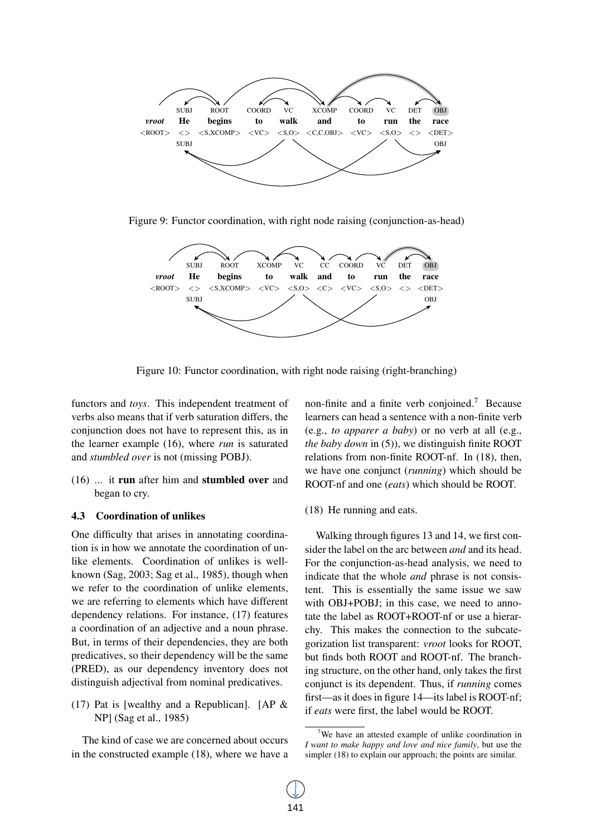

Figure 9: Functor coordination, with right node raising (conjunction-as-head)



Figure 10: Functor coordination, with right node raising (right-branching)

functors and *toys*. This independent treatment of verbs also means that if verb saturation differs, the conjunction does not have to represent this, as in the learner example (16), where *run* is saturated and *stumbled over* is not (missing POBJ).

(16) ... it run after him and stumbled over and began to cry.

#### 4.3 Coordination of unlikes

One difficulty that arises in annotating coordination is in how we annotate the coordination of unlike elements. Coordination of unlikes is wellknown (Sag, 2003; Sag et al., 1985), though when we refer to the coordination of unlike elements, we are referring to elements which have different dependency relations. For instance, (17) features a coordination of an adjective and a noun phrase. But, in terms of their dependencies, they are both predicatives, so their dependency will be the same (PRED), as our dependency inventory does not distinguish adjectival from nominal predicatives.

(17) Pat is [wealthy and a Republican]. [AP  $\&$ NP] (Sag et al., 1985)

The kind of case we are concerned about occurs in the constructed example (18), where we have a

non-finite and a finite verb conjoined.<sup>7</sup> Because learners can head a sentence with a non-finite verb (e.g., *to apparer a baby*) or no verb at all (e.g., *the baby down* in (5)), we distinguish finite ROOT relations from non-finite ROOT-nf. In (18), then, we have one conjunct (*running*) which should be ROOT-nf and one (*eats*) which should be ROOT.

(18) He running and eats.

Walking through figures 13 and 14, we first consider the label on the arc between *and* and its head. For the conjunction-as-head analysis, we need to indicate that the whole *and* phrase is not consistent. This is essentially the same issue we saw with OBJ+POBJ; in this case, we need to annotate the label as ROOT+ROOT-nf or use a hierarchy. This makes the connection to the subcategorization list transparent: *vroot* looks for ROOT, but finds both ROOT and ROOT-nf. The branching structure, on the other hand, only takes the first conjunct is its dependent. Thus, if *running* comes first—as it does in figure 14—its label is ROOT-nf; if *eats* were first, the label would be ROOT.

<sup>7</sup>We have an attested example of unlike coordination in *I want to make happy and love and nice family*, but use the simpler (18) to explain our approach; the points are similar.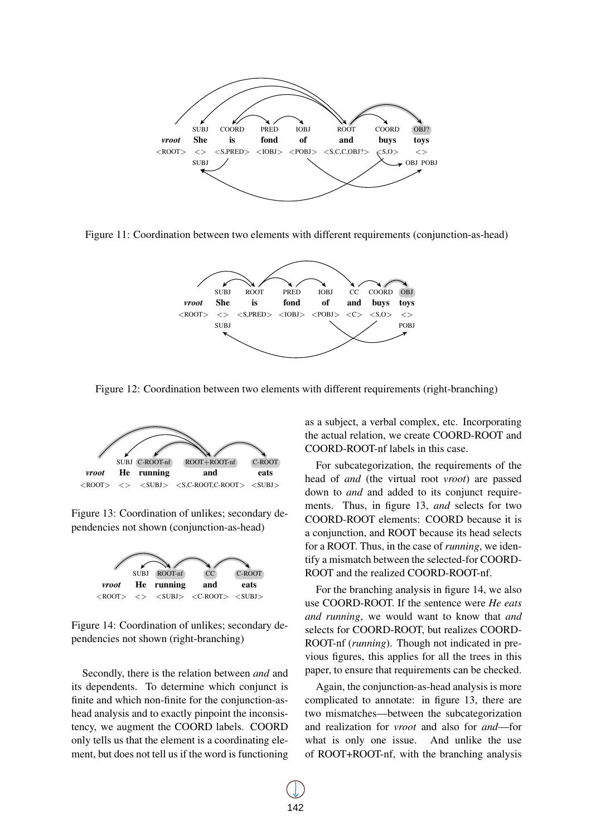

Figure 11: Coordination between two elements with different requirements (conjunction-as-head)



Figure 12: Coordination between two elements with different requirements (right-branching)



Figure 13: Coordination of unlikes; secondary dependencies not shown (conjunction-as-head)



Figure 14: Coordination of unlikes; secondary dependencies not shown (right-branching)

Secondly, there is the relation between *and* and its dependents. To determine which conjunct is finite and which non-finite for the conjunction-ashead analysis and to exactly pinpoint the inconsistency, we augment the COORD labels. COORD only tells us that the element is a coordinating element, but does not tell us if the word is functioning

as a subject, a verbal complex, etc. Incorporating the actual relation, we create COORD-ROOT and COORD-ROOT-nf labels in this case.

For subcategorization, the requirements of the head of *and* (the virtual root *vroot*) are passed down to *and* and added to its conjunct requirements. Thus, in figure 13, *and* selects for two COORD-ROOT elements: COORD because it is a conjunction, and ROOT because its head selects for a ROOT. Thus, in the case of *running*, we identify a mismatch between the selected-for COORD-ROOT and the realized COORD-ROOT-nf.

For the branching analysis in figure 14, we also use COORD-ROOT. If the sentence were *He eats and running*, we would want to know that *and* selects for COORD-ROOT, but realizes COORD-ROOT-nf (*running*). Though not indicated in previous figures, this applies for all the trees in this paper, to ensure that requirements can be checked.

Again, the conjunction-as-head analysis is more complicated to annotate: in figure 13, there are two mismatches—between the subcategorization and realization for *vroot* and also for *and*—for what is only one issue. And unlike the use of ROOT+ROOT-nf, with the branching analysis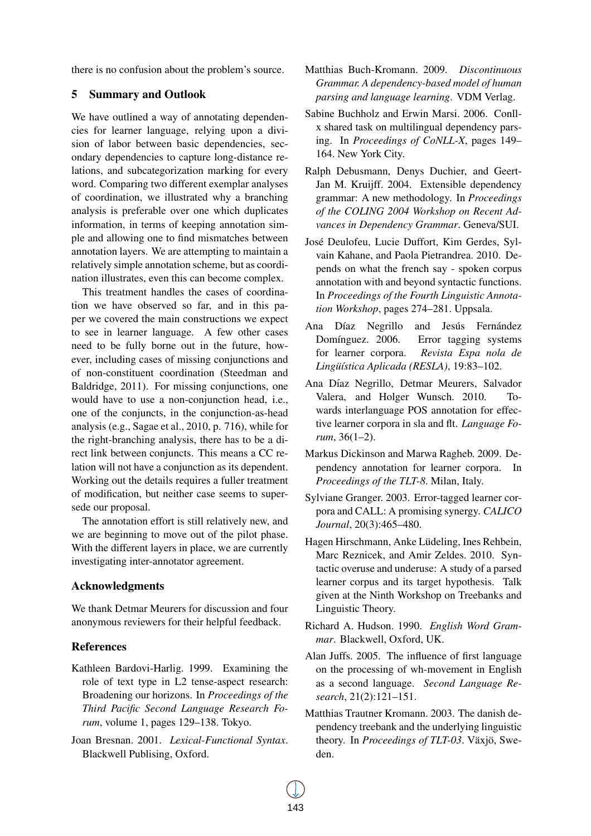there is no confusion about the problem's source.

### 5 Summary and Outlook

We have outlined a way of annotating dependencies for learner language, relying upon a division of labor between basic dependencies, secondary dependencies to capture long-distance relations, and subcategorization marking for every word. Comparing two different exemplar analyses of coordination, we illustrated why a branching analysis is preferable over one which duplicates information, in terms of keeping annotation simple and allowing one to find mismatches between annotation layers. We are attempting to maintain a relatively simple annotation scheme, but as coordination illustrates, even this can become complex.

This treatment handles the cases of coordination we have observed so far, and in this paper we covered the main constructions we expect to see in learner language. A few other cases need to be fully borne out in the future, however, including cases of missing conjunctions and of non-constituent coordination (Steedman and Baldridge, 2011). For missing conjunctions, one would have to use a non-conjunction head, i.e., one of the conjuncts, in the conjunction-as-head analysis (e.g., Sagae et al., 2010, p. 716), while for the right-branching analysis, there has to be a direct link between conjuncts. This means a CC relation will not have a conjunction as its dependent. Working out the details requires a fuller treatment of modification, but neither case seems to supersede our proposal.

The annotation effort is still relatively new, and we are beginning to move out of the pilot phase. With the different layers in place, we are currently investigating inter-annotator agreement.

# Acknowledgments

We thank Detmar Meurers for discussion and four anonymous reviewers for their helpful feedback.

# References

- Kathleen Bardovi-Harlig. 1999. Examining the role of text type in L2 tense-aspect research: Broadening our horizons. In *Proceedings of the Third Pacific Second Language Research Forum*, volume 1, pages 129–138. Tokyo.
- Joan Bresnan. 2001. *Lexical-Functional Syntax*. Blackwell Publising, Oxford.
- Matthias Buch-Kromann. 2009. *Discontinuous Grammar. A dependency-based model of human parsing and language learning*. VDM Verlag.
- Sabine Buchholz and Erwin Marsi. 2006. Conllx shared task on multilingual dependency parsing. In *Proceedings of CoNLL-X*, pages 149– 164. New York City.
- Ralph Debusmann, Denys Duchier, and Geert-Jan M. Kruijff. 2004. Extensible dependency grammar: A new methodology. In *Proceedings of the COLING 2004 Workshop on Recent Advances in Dependency Grammar*. Geneva/SUI.
- Jose Deulofeu, Lucie Duffort, Kim Gerdes, Syl- ´ vain Kahane, and Paola Pietrandrea. 2010. Depends on what the french say - spoken corpus annotation with and beyond syntactic functions. In *Proceedings of the Fourth Linguistic Annotation Workshop*, pages 274–281. Uppsala.
- Ana Díaz Negrillo and Jesús Fernández Domínguez. 2006. Error tagging systems for learner corpora. *Revista Espa nola de* Lingüística Aplicada (RESLA), 19:83-102.
- Ana Díaz Negrillo, Detmar Meurers, Salvador Valera, and Holger Wunsch. 2010. Towards interlanguage POS annotation for effective learner corpora in sla and flt. *Language Forum*, 36(1–2).
- Markus Dickinson and Marwa Ragheb. 2009. Dependency annotation for learner corpora. In *Proceedings of the TLT-8*. Milan, Italy.
- Sylviane Granger. 2003. Error-tagged learner corpora and CALL: A promising synergy. *CALICO Journal*, 20(3):465–480.
- Hagen Hirschmann, Anke Lüdeling, Ines Rehbein, Marc Reznicek, and Amir Zeldes. 2010. Syntactic overuse and underuse: A study of a parsed learner corpus and its target hypothesis. Talk given at the Ninth Workshop on Treebanks and Linguistic Theory.
- Richard A. Hudson. 1990. *English Word Grammar*. Blackwell, Oxford, UK.
- Alan Juffs. 2005. The influence of first language on the processing of wh-movement in English as a second language. *Second Language Research*, 21(2):121–151.
- Matthias Trautner Kromann. 2003. The danish dependency treebank and the underlying linguistic theory. In *Proceedings of TLT-03*. Växjö, Sweden.